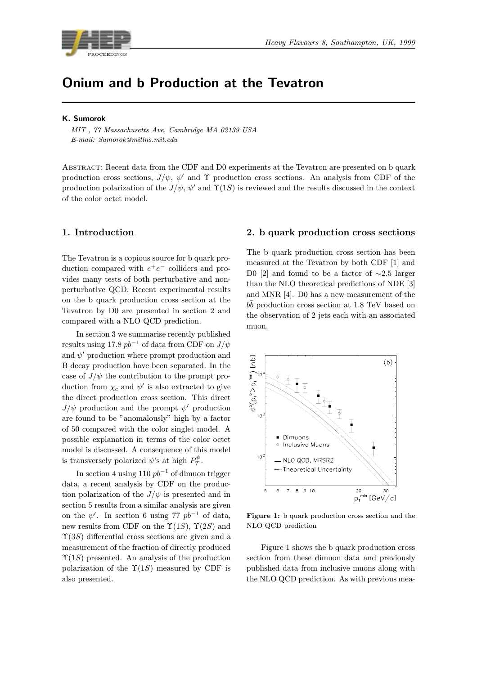

# Onium and b Production at the Tevatron

#### K. Sumorok

MIT , 77 Massachusetts Ave, Cambridge MA 02139 USA E-mail: Sumorok@mitlns.mit.edu

Abstract: Recent data from the CDF and D0 experiments at the Tevatron are presented on b quark production cross sections,  $J/\psi$ ,  $\psi'$  and  $\Upsilon$  production cross sections. An analysis from CDF of the production polarization of the  $J/\psi$ ,  $\psi'$  and  $\Upsilon(1S)$  is reviewed and the results discussed in the context of the color octet model.

### 1. Introduction

The Tevatron is a copious source for b quark production compared with  $e^+e^-$  colliders and provides many tests of both perturbative and nonperturbative QCD. Recent experimental results on the b quark production cross section at the Tevatron by D0 are presented in section 2 and compared with a NLO QCD prediction.

In section 3 we summarise recently published results using 17.8  $pb^{-1}$  of data from CDF on  $J/\psi$ and  $\psi'$  production where prompt production and B decay production have been separated. In the case of  $J/\psi$  the contribution to the prompt production from  $\chi_c$  and  $\psi'$  is also extracted to give the direct production cross section. This direct  $J/\psi$  production and the prompt  $\psi'$  production are found to be "anomalously" high by a factor of 50 compared with the color singlet model. A possible explanation in terms of the color octet model is discussed. A consequence of this model is transversely polarized  $\psi$ 's at high  $P_T^{\psi}$ .

In section 4 using 110  $pb^{-1}$  of dimuon trigger data, a recent analysis by CDF on the production polarization of the  $J/\psi$  is presented and in section 5 results from a similar analysis are given on the  $\psi'$ . In section 6 using 77  $pb^{-1}$  of data, new results from CDF on the  $\Upsilon(1S)$ ,  $\Upsilon(2S)$  and  $\Upsilon(3S)$  differential cross sections are given and a measurement of the fraction of directly produced  $\Upsilon(1S)$  presented. An analysis of the production polarization of the  $\Upsilon(1S)$  measured by CDF is also presented.

#### 2. b quark production cross sections

The b quark production cross section has been measured at the Tevatron by both CDF [1] and D0 [2] and found to be a factor of  $\sim$ 2.5 larger than the NLO theoretical predictions of NDE [3] and MNR [4]. D0 has a new measurement of the  $b\bar{b}$  production cross section at 1.8 TeV based on the observation of 2 jets each with an associated muon.



Figure 1: b quark production cross section and the NLO QCD prediction

Figure 1 shows the b quark production cross section from these dimuon data and previously published data from inclusive muons along with the NLO QCD prediction. As with previous mea-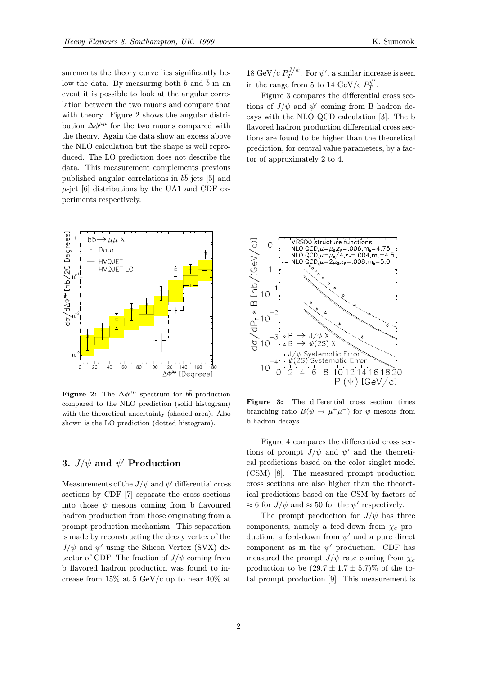surements the theory curve lies significantly below the data. By measuring both b and  $\bar{b}$  in an event it is possible to look at the angular correlation between the two muons and compare that with theory. Figure 2 shows the angular distribution  $\Delta\phi^{\mu\mu}$  for the two muons compared with the theory. Again the data show an excess above the NLO calculation but the shape is well reproduced. The LO prediction does not describe the data. This measurement complements previous published angular correlations in  $b\bar{b}$  jets [5] and  $\mu$ -jet [6] distributions by the UA1 and CDF experiments respectively.



**Figure 2:** The  $\Delta\phi^{\mu\mu}$  spectrum for  $b\bar{b}$  production compared to the NLO prediction (solid histogram) with the theoretical uncertainty (shaded area). Also shown is the LO prediction (dotted histogram).

## 3.  $J/\psi$  and  $\psi'$  Production

Measurements of the  $J/\psi$  and  $\psi'$  differential cross sections by CDF [7] separate the cross sections into those  $\psi$  mesons coming from b flavoured hadron production from those originating from a prompt production mechanism. This separation is made by reconstructing the decay vertex of the  $J/\psi$  and  $\psi'$  using the Silicon Vertex (SVX) detector of CDF. The fraction of  $J/\psi$  coming from b flavored hadron production was found to increase from 15% at 5 GeV/c up to near 40% at 18 GeV/c  $P_T^{J/\psi}$ . For  $\psi'$ , a similar increase is seen in the range from 5 to 14 GeV/c  $P_T^{\psi'}$ .

Figure 3 compares the differential cross sections of  $J/\psi$  and  $\psi'$  coming from B hadron decays with the NLO QCD calculation [3]. The b flavored hadron production differential cross sections are found to be higher than the theoretical prediction, for central value parameters, by a factor of approximately 2 to 4.



Figure 3: The differential cross section times branching ratio  $B(\psi \to \mu^+ \mu^-)$  for  $\psi$  mesons from b hadron decays

Figure 4 compares the differential cross sections of prompt  $J/\psi$  and  $\psi'$  and the theoretical predictions based on the color singlet model (CSM) [8]. The measured prompt production cross sections are also higher than the theoretical predictions based on the CSM by factors of  $\approx 6$  for  $J/\psi$  and  $\approx 50$  for the  $\psi'$  respectively.

The prompt production for  $J/\psi$  has three components, namely a feed-down from  $\chi_c$  production, a feed-down from  $\psi'$  and a pure direct component as in the  $\psi'$  production. CDF has measured the prompt  $J/\psi$  rate coming from  $\chi_c$ production to be  $(29.7 \pm 1.7 \pm 5.7)\%$  of the total prompt production [9]. This measurement is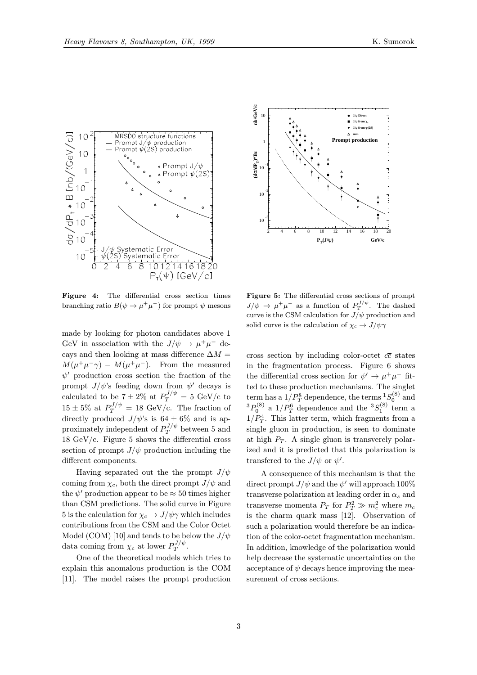

Figure 4: The differential cross section times branching ratio  $B(\psi \to \mu^+\mu^-)$  for prompt  $\psi$  mesons

made by looking for photon candidates above 1 GeV in association with the  $J/\psi \rightarrow \mu^+\mu^-$  decays and then looking at mass difference  $\Delta M =$  $M(\mu^+\mu^-\gamma) - M(\mu^+\mu^-)$ . From the measured  $\psi'$  production cross section the fraction of the prompt  $J/\psi$ 's feeding down from  $\psi'$  decays is calculated to be  $7 \pm 2\%$  at  $P_T^{J/\psi} = 5 \text{ GeV/c}$  to  $15 \pm 5\%$  at  $P_T^{J/\psi} = 18 \text{ GeV/c}$ . The fraction of directly produced  $J/\psi$ 's is  $64 \pm 6\%$  and is approximately independent of  $P_T^{J/\psi}$  between 5 and 18 GeV/c. Figure 5 shows the differential cross section of prompt  $J/\psi$  production including the different components.

Having separated out the the prompt  $J/\psi$ coming from  $\chi_c$ , both the direct prompt  $J/\psi$  and the  $\psi'$  production appear to be  $\approx 50$  times higher than CSM predictions. The solid curve in Figure 5 is the calculation for  $\chi_c \to J/\psi \gamma$  which includes contributions from the CSM and the Color Octet Model (COM) [10] and tends to be below the  $J/\psi$ data coming from  $\chi_c$  at lower  $P_T^{J/\psi}$ .

One of the theoretical models which tries to explain this anomalous production is the COM [11]. The model raises the prompt production



Figure 5: The differential cross sections of prompt  $J/\psi \to \mu^+\mu^-$  as a function of  $P_T^{J/\psi}$ . The dashed curve is the CSM calculation for  $J/\psi$  production and solid curve is the calculation of  $\chi_c \to J/\psi \gamma$ 

cross section by including color-octet  $c\bar{c}$  states in the fragmentation process. Figure 6 shows the differential cross section for  $\psi' \to \mu^+ \mu^-$  fitted to these production mechanisms. The singlet term has a  $1/P_T^8$  dependence, the terms  ${}_{.8}^{1}S_0^{(8)}$  and  ${}^{3}P_0^{(8)}$  a  $1/P_T^6$  dependence and the  ${}^{3}S_1^{(8)}$  term a  $1/P_T^4$ . This latter term, which fragments from a single gluon in production, is seen to dominate at high  $P_T$ . A single gluon is transverely polarized and it is predicted that this polarization is transferrd to the  $J/\psi$  or  $\psi'$ .

A consequence of this mechanism is that the direct prompt  $J/\psi$  and the  $\psi'$  will approach 100% transverse polarization at leading order in  $\alpha_s$  and transverse momenta  $P_T$  for  $P_T^2 \gg m_c^2$  where  $m_c$ is the charm quark mass [12]. Observation of such a polarization would therefore be an indication of the color-octet fragmentation mechanism. In addition, knowledge of the polarization would help decrease the systematic uncertainties on the acceptance of  $\psi$  decays hence improving the measurement of cross sections.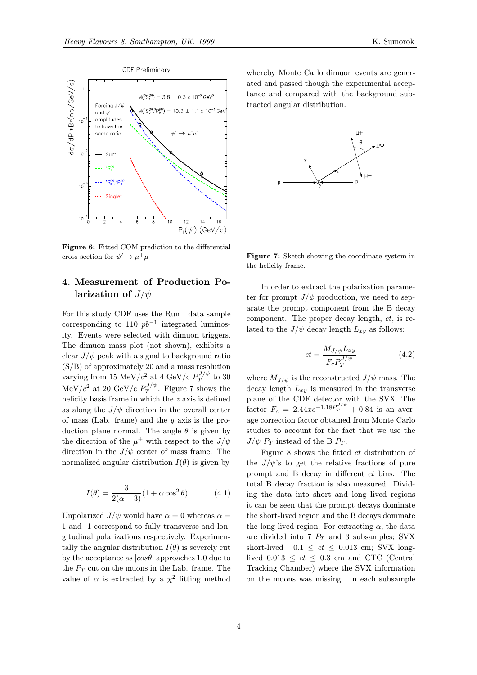

Figure 6: Fitted COM prediction to the differential cross section for  $\psi' \to \mu^+\mu^-$ 

## 4. Measurement of Production Polarization of  $J/\psi$

For this study CDF uses the Run I data sample corresponding to 110  $pb^{-1}$  integrated luminosity. Events were selected with dimuon triggers. The dimuon mass plot (not shown), exhibits a clear  $J/\psi$  peak with a signal to background ratio (S/B) of approximately 20 and a mass resolution varying from 15 MeV/ $c^2$  at 4 GeV/c  $P_T^{J/\psi}$  to 30  $\text{MeV}/c^2$  at 20 GeV/c  $P_T^{J/\psi}$ . Figure 7 shows the helicity basis frame in which the  $z$  axis is defined as along the  $J/\psi$  direction in the overall center of mass (Lab. frame) and the y axis is the production plane normal. The angle  $\theta$  is given by the direction of the  $\mu^+$  with respect to the  $J/\psi$ direction in the  $J/\psi$  center of mass frame. The normalized angular distribution  $I(\theta)$  is given by

$$
I(\theta) = \frac{3}{2(\alpha+3)}(1+\alpha\cos^2\theta). \tag{4.1}
$$

Unpolarized  $J/\psi$  would have  $\alpha = 0$  whereas  $\alpha =$ 1 and -1 correspond to fully transverse and longitudinal polarizations respectively. Experimentally the angular distribution  $I(\theta)$  is severely cut by the acceptance as  $|cos\theta|$  approaches 1.0 due to the  $P_T$  cut on the muons in the Lab. frame. The value of  $\alpha$  is extracted by a  $\chi^2$  fitting method

whereby Monte Carlo dimuon events are generated and passed though the experimental acceptance and compared with the background subtracted angular distribution.



Figure 7: Sketch showing the coordinate system in the helicity frame.

In order to extract the polarization parameter for prompt  $J/\psi$  production, we need to separate the prompt component from the B decay component. The proper decay length,  $ct$ , is related to the  $J/\psi$  decay length  $L_{xy}$  as follows:

$$
ct = \frac{M_{J/\psi} L_{xy}}{F_c P_T^{J/\psi}}
$$
(4.2)

where  $M_{J/\psi}$  is the reconstructed  $J/\psi$  mass. The decay length  $L_{xy}$  is measured in the transverse plane of the CDF detector with the SVX. The factor  $F_c = 2.44xe^{-1.18P_T^{J/\psi}} + 0.84$  is an average correction factor obtained from Monte Carlo studies to account for the fact that we use the  $J/\psi$   $P_T$  instead of the B  $P_T$ .

Figure 8 shows the fitted ct distribution of the  $J/\psi$ 's to get the relative fractions of pure prompt and B decay in different ct bins. The total B decay fraction is also measured. Dividing the data into short and long lived regions it can be seen that the prompt decays dominate the short-lived region and the B decays dominate the long-lived region. For extracting  $\alpha$ , the data are divided into 7  $P_T$  and 3 subsamples; SVX short-lived  $-0.1 \le ct \le 0.013$  cm; SVX longlived  $0.013 \le ct \le 0.3$  cm and CTC (Central Tracking Chamber) where the SVX information on the muons was missing. In each subsample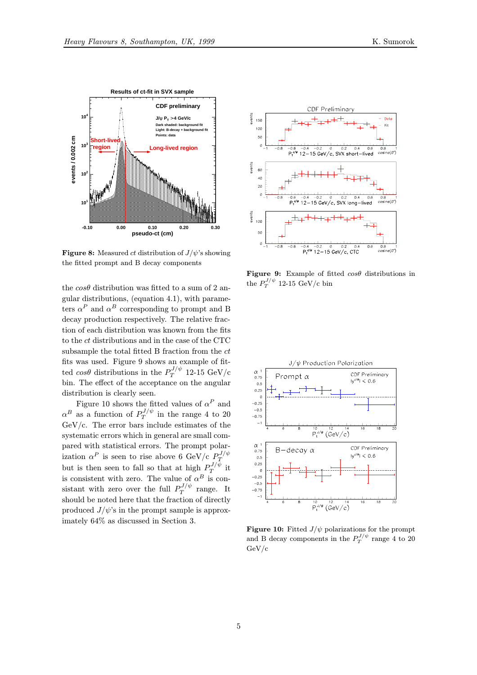

**Figure 8:** Measured *ct* distribution of  $J/\psi$ 's showing the fitted prompt and B decay components

the  $\cos\theta$  distribution was fitted to a sum of 2 angular distributions, (equation 4.1), with parameters  $\alpha^P$  and  $\alpha^B$  corresponding to prompt and B decay production respectively. The relative fraction of each distribution was known from the fits to the  $ct$  distributions and in the case of the CTC subsample the total fitted  $B$  fraction from the  $ct$ fits was used. Figure 9 shows an example of fitted  $cos\theta$  distributions in the  $P_T^{J/\psi}$  12-15 GeV/c bin. The effect of the acceptance on the angular distribution is clearly seen.

Figure 10 shows the fitted values of  $\alpha^P$  and  $\alpha^B$  as a function of  $P_T^{J/\psi}$  in the range 4 to 20 GeV/c. The error bars include estimates of the systematic errors which in general are small compared with statistical errors. The prompt polarization  $\alpha^P$  is seen to rise above 6 GeV/c  $P_T^{J/\psi}$ but is then seen to fall so that at high  $P_T^{J/\psi}$  it is consistent with zero. The value of  $\alpha^B$  is consistant with zero over the full  $P_T^{J/\psi}$  range. It should be noted here that the fraction of directly produced  $J/\psi$ 's in the prompt sample is approximately 64% as discussed in Section 3.



Figure 9: Example of fitted  $cos\theta$  distributions in the  $P_T^{J/\psi}$  12-15 GeV/c bin



**Figure 10:** Fitted  $J/\psi$  polarizations for the prompt and B decay components in the  $P_T^{J/\psi}$  range 4 to 20 GeV/c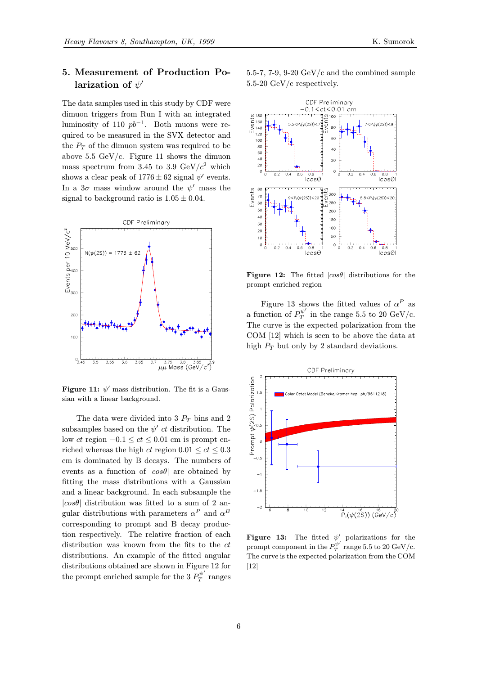## 5. Measurement of Production Polarization of  $\psi'$

The data samples used in this study by CDF were dimuon triggers from Run I with an integrated luminosity of 110  $pb^{-1}$ . Both muons were required to be measured in the SVX detector and the  $P_T$  of the dimuon system was required to be above 5.5 GeV/c. Figure 11 shows the dimuon mass spectrum from 3.45 to 3.9 GeV/ $c^2$  which shows a clear peak of  $1776 \pm 62$  signal  $\psi'$  events. In a  $3\sigma$  mass window around the  $\psi'$  mass the signal to background ratio is  $1.05 \pm 0.04$ .



Figure 11:  $\psi'$  mass distribution. The fit is a Gaussian with a linear background.

The data were divided into 3  $P_T$  bins and 2 subsamples based on the  $\psi'$  ct distribution. The low ct region  $-0.1 \le ct \le 0.01$  cm is prompt enriched whereas the high ct region  $0.01 \le ct \le 0.3$ cm is dominated by B decays. The numbers of events as a function of  $|cos\theta|$  are obtained by fitting the mass distributions with a Gaussian and a linear background. In each subsample the  $|cos\theta|$  distribution was fitted to a sum of 2 angular distributions with parameters  $\alpha^P$  and  $\alpha^B$ corresponding to prompt and B decay production respectively. The relative fraction of each distribution was known from the fits to the ct distributions. An example of the fitted angular distributions obtained are shown in Figure 12 for the prompt enriched sample for the 3  $P_T^{\psi'}$  ranges

5.5-7, 7-9, 9-20  $\text{GeV/c}$  and the combined sample 5.5-20 GeV/c respectively.



Figure 12: The fitted  $|cos\theta|$  distributions for the prompt enriched region

Figure 13 shows the fitted values of  $\alpha^P$  as a function of  $P_T^{\psi'}$  in the range 5.5 to 20 GeV/c. The curve is the expected polarization from the COM [12] which is seen to be above the data at high  $P_T$  but only by 2 standard deviations.



Figure 13: The fitted  $\psi'$  polarizations for the prompt component in the  $P_T^{\psi'}$  range 5.5 to 20 GeV/c. The curve is the expected polarization from the COM [12]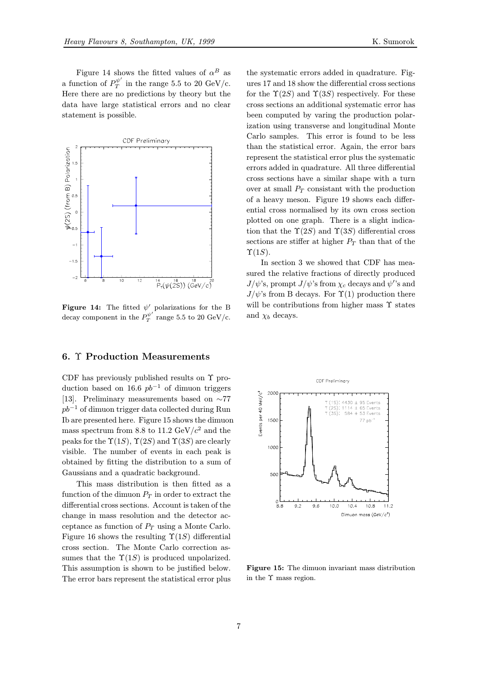Figure 14 shows the fitted values of  $\alpha^B$  as a function of  $P_T^{\psi'}$  in the range 5.5 to 20 GeV/c. Here there are no predictions by theory but the data have large statistical errors and no clear statement is possible.



Figure 14: The fitted  $\psi'$  polarizations for the B decay component in the  $P_T^{\psi'}$  range 5.5 to 20 GeV/c.

## 6. Υ Production Measurements

CDF has previously published results on Υ production based on 16.6  $pb^{-1}$  of dimuon triggers [13]. Preliminary measurements based on ∼77  $pb^{-1}$  of dimuon trigger data collected during Run Ib are presented here. Figure 15 shows the dimuon mass spectrum from 8.8 to 11.2 GeV/ $c^2$  and the peaks for the  $\Upsilon(1S)$ ,  $\Upsilon(2S)$  and  $\Upsilon(3S)$  are clearly visible. The number of events in each peak is obtained by fitting the distribution to a sum of Gaussians and a quadratic background.

This mass distribution is then fitted as a function of the dimuon  $P_T$  in order to extract the differential cross sections. Account is taken of the change in mass resolution and the detector acceptance as function of  $P_T$  using a Monte Carlo. Figure 16 shows the resulting  $\Upsilon(1S)$  differential cross section. The Monte Carlo correction assumes that the  $\Upsilon(1S)$  is produced unpolarized. This assumption is shown to be justified below. The error bars represent the statistical error plus the systematic errors added in quadrature. Figures 17 and 18 show the differential cross sections for the  $\Upsilon(2S)$  and  $\Upsilon(3S)$  respectively. For these cross sections an additional systematic error has been computed by varing the production polarization using transverse and longitudinal Monte Carlo samples. This error is found to be less than the statistical error. Again, the error bars represent the statistical error plus the systematic errors added in quadrature. All three differential cross sections have a similar shape with a turn over at small  $P_T$  consistant with the production of a heavy meson. Figure 19 shows each differential cross normalised by its own cross section

plotted on one graph. There is a slight indication that the  $\Upsilon(2S)$  and  $\Upsilon(3S)$  differential cross sections are stiffer at higher  $P_T$  than that of the  $\Upsilon(1S)$ . In section 3 we showed that CDF has mea-

sured the relative fractions of directly produced  $J/\psi$ 's, prompt  $J/\psi$ 's from  $\chi_c$  decays and  $\psi^{\prime}$ 's and  $J/\psi$ 's from B decays. For  $\Upsilon(1)$  production there will be contributions from higher mass  $\Upsilon$  states and  $\chi_b$  decays.



Figure 15: The dimuon invariant mass distribution in the Υ mass region.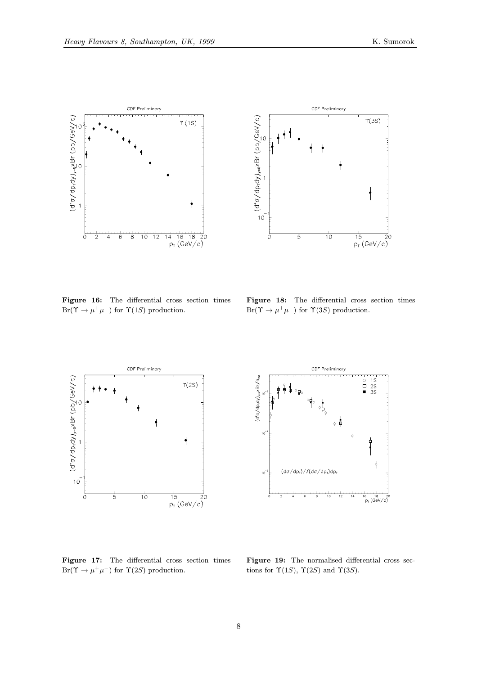



Figure 16: The differential cross section times  $Br(\Upsilon \to \mu^+ \mu^-)$  for  $\Upsilon(1S)$  production.

Figure 18: The differential cross section times  $Br(\Upsilon \to \mu^+ \mu^-)$  for  $\Upsilon(3S)$  production.



Figure 17: The differential cross section times  $\text{Br}(\Upsilon\to \mu^+\mu^-)$  for  $\Upsilon(2S)$  production.



Figure 19: The normalised differential cross sections for  $\Upsilon(1S)$ ,  $\Upsilon(2S)$  and  $\Upsilon(3S)$ .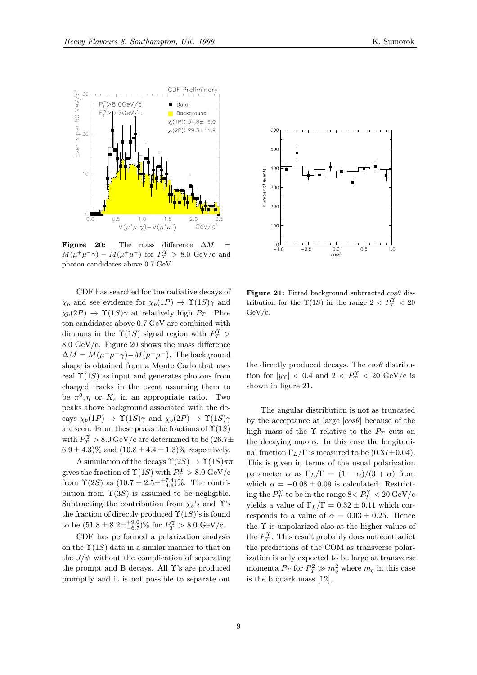

Figure 20: The mass difference  $\Delta M = M(\mu + \mu^+)$   $M(\mu + \mu^-)$  for  $D^{\Upsilon} > 8.0$  CeV/s and  $M(\mu^+\mu^-\gamma) - M(\mu^+\mu^-)$  for  $P_T^{\Upsilon} > 8.0$  GeV/c and photon candidates above 0.7 GeV.

CDF has searched for the radiative decays of  $\chi_b$  and see evidence for  $\chi_b(1P) \to \Upsilon(1S)\gamma$  and  $\chi_b(2P) \rightarrow \Upsilon(1S)\gamma$  at relatively high  $P_T$ . Photon candidates above 0.7 GeV are combined with dimuons in the  $\Upsilon(1S)$  signal region with  $P_T^{\Upsilon}$  > 8.0 GeV/c. Figure 20 shows the mass difference  $\Delta M = M(\mu^+\mu^-\gamma) - M(\mu^+\mu^-)$ . The background shape is obtained from a Monte Carlo that uses real  $\Upsilon(1S)$  as input and generates photons from charged tracks in the event assuming them to be  $\pi^0$ ,  $\eta$  or  $K_s$  in an appropriate ratio. Two peaks above background associated with the decays  $\chi_b(1P) \to \Upsilon(1S)\gamma$  and  $\chi_b(2P) \to \Upsilon(1S)\gamma$ are seen. From these peaks the fractions of  $\Upsilon(1S)$ with  $P_T^{\Upsilon} > 8.0 \,\mathrm{GeV/c}$  are determined to be  $(26.7\pm$  $6.9 \pm 4.3\%$  and  $(10.8 \pm 4.4 \pm 1.3)\%$  respectively.

A simulation of the decays  $\Upsilon(2S) \to \Upsilon(1S) \pi \pi$ gives the fraction of  $\Upsilon(1S)$  with  $P_T^{\Upsilon} > 8.0 \text{ GeV/c}$ from  $\Upsilon(2S)$  as  $(10.7 \pm 2.5 \pm \frac{17.4}{-4.3})\%$ . The contribution from  $\Upsilon(3S)$  is assumed to be negligible. Subtracting the contribution from  $\chi_b$ 's and Y's the fraction of directly produced  $\Upsilon(1S)$ 's is found to be  $(51.8 \pm 8.2 \pm^{+9.0}_{-6.7})\%$  for  $P_T^{\Upsilon} > 8.0 \text{ GeV/c}.$ 

CDF has performed a polarization analysis on the  $\Upsilon(1S)$  data in a similar manner to that on the  $J/\psi$  without the complication of separating the prompt and B decays. All Υ's are produced promptly and it is not possible to separate out



Figure 21: Fitted background subtracted  $cos\theta$  distribution for the  $\Upsilon(1S)$  in the range  $2 < P_T^{\Upsilon} < 20$ GeV/c.

the directly produced decays. The  $\cos\theta$  distribution for  $|y_T|$  < 0.4 and 2 <  $P_T^{\Upsilon}$  < 20 GeV/c is shown in figure 21.

The angular distribution is not as truncated by the acceptance at large  $|cos\theta|$  because of the high mass of the  $\Upsilon$  relative to the  $P_T$  cuts on the decaying muons. In this case the longitudinal fraction  $\Gamma_L/\Gamma$  is measured to be  $(0.37\pm0.04)$ . This is given in terms of the usual polarization parameter  $\alpha$  as  $\Gamma_L/\Gamma = (1 - \alpha)/(3 + \alpha)$  from which  $\alpha = -0.08 \pm 0.09$  is calculated. Restrict- $\log\,{\rm the}\,P_T^{\Upsilon}$  to be in the range  $8\!< P_T^{\Upsilon} < 20\,{\rm GeV/c}$ yields a value of  $\Gamma_L/\Gamma=0.32\pm0.11$  which corresponds to a value of  $\alpha = 0.03 \pm 0.25$ . Hence the Υ is unpolarized also at the higher values of the  $P_T^{\Upsilon}$ . This result probably does not contradict the predictions of the COM as transverse polarization is only expected to be large at transverse momenta  $P_T$  for  $P_T^2 \gg m_q^2$  where  $m_q$  in this case is the b quark mass [12].